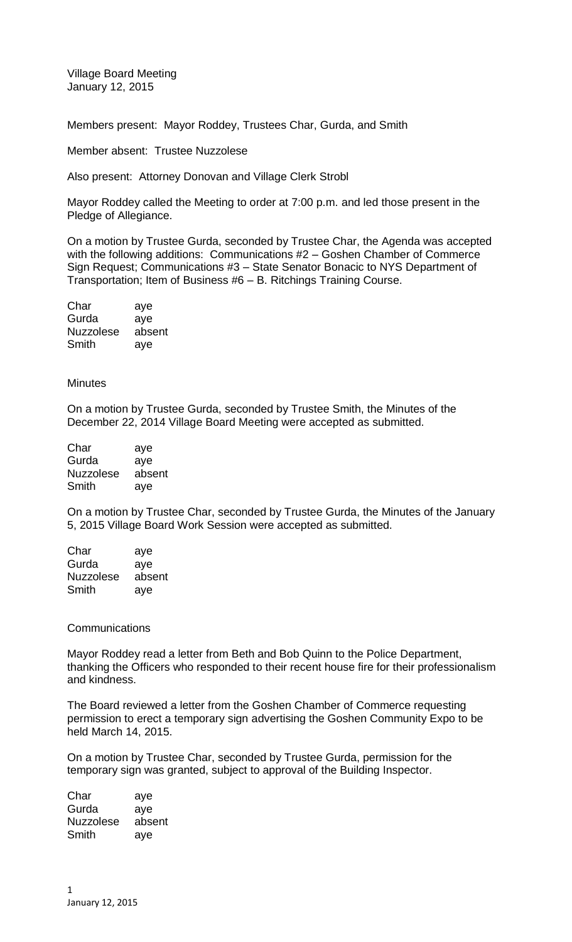Village Board Meeting January 12, 2015

Members present: Mayor Roddey, Trustees Char, Gurda, and Smith

Member absent: Trustee Nuzzolese

Also present: Attorney Donovan and Village Clerk Strobl

Mayor Roddey called the Meeting to order at 7:00 p.m. and led those present in the Pledge of Allegiance.

On a motion by Trustee Gurda, seconded by Trustee Char, the Agenda was accepted with the following additions: Communications #2 – Goshen Chamber of Commerce Sign Request; Communications #3 – State Senator Bonacic to NYS Department of Transportation; Item of Business #6 – B. Ritchings Training Course.

| Char             | aye    |
|------------------|--------|
| Gurda            | aye    |
| <b>Nuzzolese</b> | absent |
| Smith            | aye    |

## **Minutes**

On a motion by Trustee Gurda, seconded by Trustee Smith, the Minutes of the December 22, 2014 Village Board Meeting were accepted as submitted.

| Char             | aye    |
|------------------|--------|
| Gurda            | aye    |
| <b>Nuzzolese</b> | absent |
| Smith            | ave    |

On a motion by Trustee Char, seconded by Trustee Gurda, the Minutes of the January 5, 2015 Village Board Work Session were accepted as submitted.

| aye    |
|--------|
| aye    |
| absent |
| aye    |
|        |

## **Communications**

Mayor Roddey read a letter from Beth and Bob Quinn to the Police Department, thanking the Officers who responded to their recent house fire for their professionalism and kindness.

The Board reviewed a letter from the Goshen Chamber of Commerce requesting permission to erect a temporary sign advertising the Goshen Community Expo to be held March 14, 2015.

On a motion by Trustee Char, seconded by Trustee Gurda, permission for the temporary sign was granted, subject to approval of the Building Inspector.

Char aye Gurda aye Nuzzolese absent Smith aye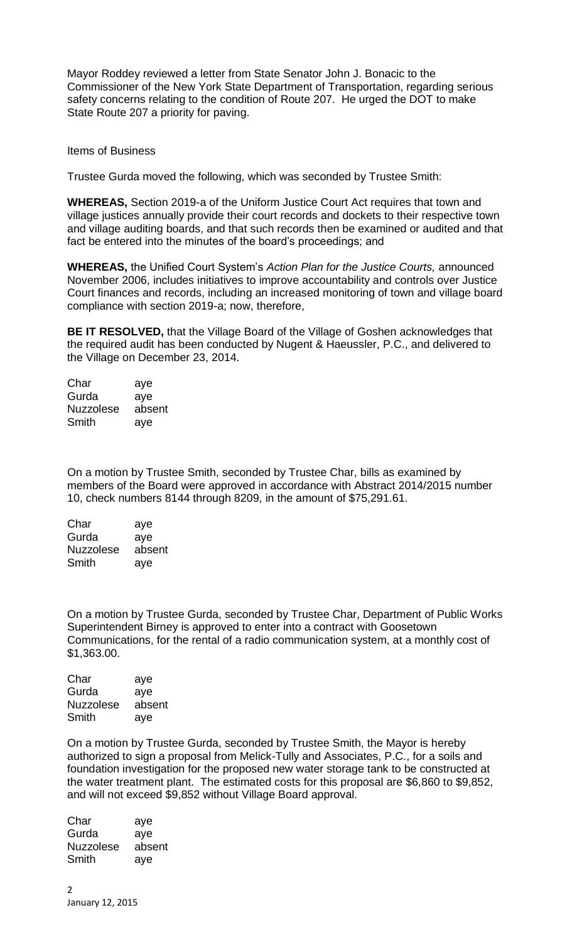Mayor Roddey reviewed a letter from State Senator John J. Bonacic to the Commissioner of the New York State Department of Transportation, regarding serious safety concerns relating to the condition of Route 207. He urged the DOT to make State Route 207 a priority for paving.

Items of Business

Trustee Gurda moved the following, which was seconded by Trustee Smith:

**WHEREAS,** Section 2019-a of the Uniform Justice Court Act requires that town and village justices annually provide their court records and dockets to their respective town and village auditing boards, and that such records then be examined or audited and that fact be entered into the minutes of the board's proceedings; and

**WHEREAS,** the Unified Court System's *Action Plan for the Justice Courts,* announced November 2006, includes initiatives to improve accountability and controls over Justice Court finances and records, including an increased monitoring of town and village board compliance with section 2019-a; now, therefore,

**BE IT RESOLVED,** that the Village Board of the Village of Goshen acknowledges that the required audit has been conducted by Nugent & Haeussler, P.C., and delivered to the Village on December 23, 2014.

| Char             | aye    |
|------------------|--------|
| Gurda            | aye    |
| <b>Nuzzolese</b> | absent |
| Smith            | aye    |

On a motion by Trustee Smith, seconded by Trustee Char, bills as examined by members of the Board were approved in accordance with Abstract 2014/2015 number 10, check numbers 8144 through 8209, in the amount of \$75,291.61.

| Char             | aye    |
|------------------|--------|
| Gurda            | aye    |
| <b>Nuzzolese</b> | absent |
| Smith            | aye    |

On a motion by Trustee Gurda, seconded by Trustee Char, Department of Public Works Superintendent Birney is approved to enter into a contract with Goosetown Communications, for the rental of a radio communication system, at a monthly cost of \$1,363.00.

| Char             | aye    |
|------------------|--------|
| Gurda            | aye    |
| <b>Nuzzolese</b> | absent |
| Smith            | aye    |

On a motion by Trustee Gurda, seconded by Trustee Smith, the Mayor is hereby authorized to sign a proposal from Melick-Tully and Associates, P.C., for a soils and foundation investigation for the proposed new water storage tank to be constructed at the water treatment plant. The estimated costs for this proposal are \$6,860 to \$9,852, and will not exceed \$9,852 without Village Board approval.

Char aye Gurda aye Nuzzolese absent Smith aye